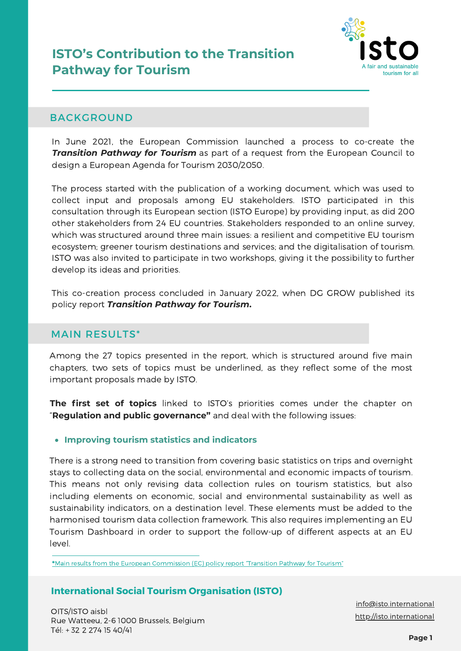# **ISTO's Contribution to the Transition Pathway for Tourism**



## BACKGROUND

In June 2021, the European Commission launched a process to co-create the *Transition Pathway for Tourism* as part of a request from the European Council to design a European Agenda for Tourism 2030/2050.

The process started with the publication of a working document, which was used to collect input and proposals among EU stakeholders. ISTO participated in this consultation through its European section (ISTO Europe) by providing input, as did 200 other stakeholders from 24 EU countries. Stakeholders responded to an online survey, which was structured around three main issues: a resilient and competitive EU tourism ecosystem; greener tourism destinations and services; and the digitalisation of tourism. ISTO was also invited to participate in two workshops, giving it the possibility to further develop its ideas and priorities.

This co-creation process concluded in January 2022, when DG GROW published its policy report *Transition Pathway for Tourism***.**

# MAIN RESULTS\*

Among the 27 topics presented in the report, which is structured around five main chapters, two sets of topics must be underlined, as they reflect some of the most important proposals made by ISTO.

**The first set of topics** linked to ISTO's priorities comes under the chapter on "**Regulation and public governance"** and deal with the following issues:

## **Improving tourism statistics and indicators**

There is a strong need to transition from covering basic statistics on trips and overnight stays to collecting data on the social, environmental and economic impacts of tourism. This means not only revising data collection rules on tourism statistics, but also including elements on economic, social and environmental sustainability as well as sustainability indicators, on a destination level. These elements must be added to the harmonised tourism data collection framework. This also requires implementing an EU Tourism Dashboard in order to support the follow-up of different aspects at an EU level.

**[\\*](https://op.europa.eu/en/publication-detail/-/publication/404a8144-8892-11ec-8c40-01aa75ed71a1)**Main results from the European [Commission](https://op.europa.eu/en/publication-detail/-/publication/404a8144-8892-11ec-8c40-01aa75ed71a1) (EC) policy report "Transition Pathway for Tourism"

# **International Social Tourism Organisation (ISTO)**

OITS/ISTO aisbl Rue Watteeu, 2-6 1000 Brussels, Belgium Tél: + 32 2 274 15 40/41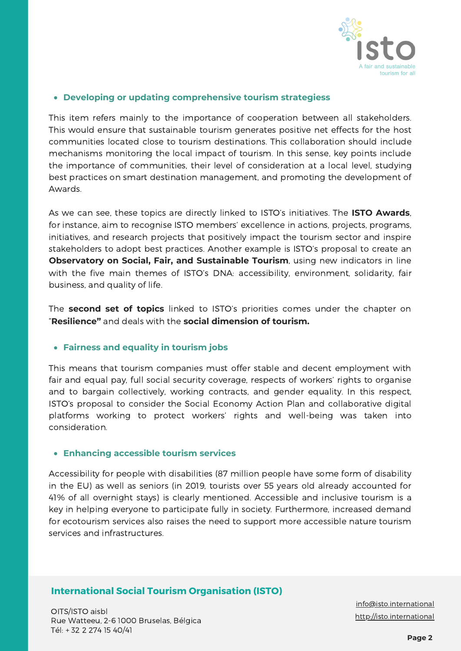

### **Developing or updating comprehensive tourism strategiess**

This item refers mainly to the importance of cooperation between all stakeholders. This would ensure that sustainable tourism generates positive net effects for the host communities located close to tourism destinations. This collaboration should include mechanisms monitoring the local impact of tourism. In this sense, key points include the importance of communities, their level of consideration at a local level, studying best practices on smart destination management, and promoting the development of Awards.

As we can see, these topics are directly linked to ISTO's initiatives. The **ISTO Awards**, for instance, aim to recognise ISTO members' excellence in actions, projects, programs, initiatives, and research projects that positively impact the tourism sector and inspire stakeholders to adopt best practices. Another example is ISTO's proposal to create an **Observatory on Social, Fair, and Sustainable Tourism**, using new indicators in line with the five main themes of ISTO's DNA: accessibility, environment, solidarity, fair business, and quality of life.

The **second set of topics** linked to ISTO's priorities comes under the chapter on "**Resilience"** and deals with the **social dimension of tourism.**

## **Fairness and equality in tourism jobs**

This means that tourism companies must offer stable and decent employment with fair and equal pay, full social security coverage, respects of workers' rights to organise and to bargain collectively, working contracts, and gender equality. In this respect, ISTO's proposal to consider the Social Economy Action Plan and collaborative digital platforms working to protect workers' rights and well-being was taken into consideration.

#### **Enhancing accessible tourism services**

Accessibility for people with disabilities (87 million people have some form of disability in the EU) as well as seniors (in 2019, tourists over 55 years old already accounted for 41% of all overnight stays) is clearly mentioned. Accessible and inclusive tourism is a key in helping everyone to participate fully in society. Furthermore, increased demand for ecotourism services also raises the need to support more accessible nature tourism services and infrastructures.

## **International Social Tourism Organisation (ISTO)**

OITS/ISTO aisbl Rue Watteeu, 2-6 1000 Bruselas, Bélgica Tél: + 32 2 274 15 40/41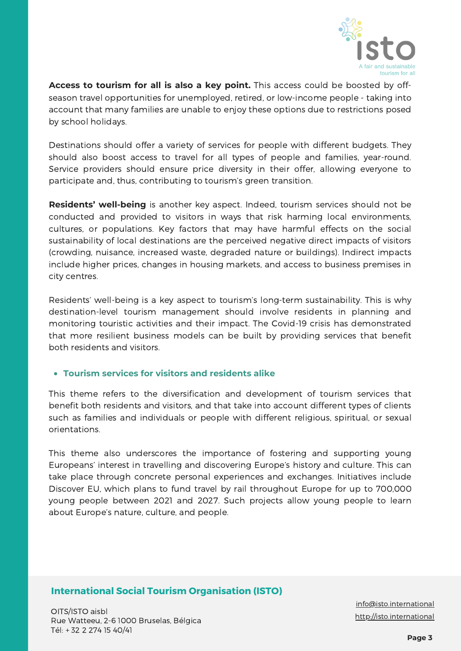

**Access to tourism for all is also a key point.** This access could be boosted by offseason travel opportunities for unemployed, retired, or low-income people - taking into account that many families are unable to enjoy these options due to restrictions posed by school holidays.

Destinations should offer a variety of services for people with different budgets. They should also boost access to travel for all types of people and families, year-round. Service providers should ensure price diversity in their offer, allowing everyone to participate and, thus, contributing to tourism's green transition.

**Residents' well-being** is another key aspect. Indeed, tourism services should not be conducted and provided to visitors in ways that risk harming local environments, cultures, or populations. Key factors that may have harmful effects on the social sustainability of local destinations are the perceived negative direct impacts of visitors (crowding, nuisance, increased waste, degraded nature or buildings). Indirect impacts include higher prices, changes in housing markets, and access to business premises in city centres.

Residents' well-being is a key aspect to tourism's long-term sustainability. This is why destination-level tourism management should involve residents in planning and monitoring touristic activities and their impact. The Covid-19 crisis has demonstrated that more resilient business models can be built by providing services that benefit both residents and visitors.

## **Tourism services for visitors and residents alike**

This theme refers to the diversification and development of tourism services that benefit both residents and visitors, and that take into account different types of clients such as families and individuals or people with different religious, spiritual, or sexual orientations.

This theme also underscores the importance of fostering and supporting young Europeans' interest in travelling and discovering Europe's history and culture. This can take place through concrete personal experiences and exchanges. Initiatives include Discover EU, which plans to fund travel by rail throughout Europe for up to 700,000 young people between 2021 and 2027. Such projects allow young people to learn about Europe's nature, culture, and people.

## **International Social Tourism Organisation (ISTO)**

OITS/ISTO aisbl Rue Watteeu, 2-6 1000 Bruselas, Bélgica Tél: + 32 2 274 15 40/41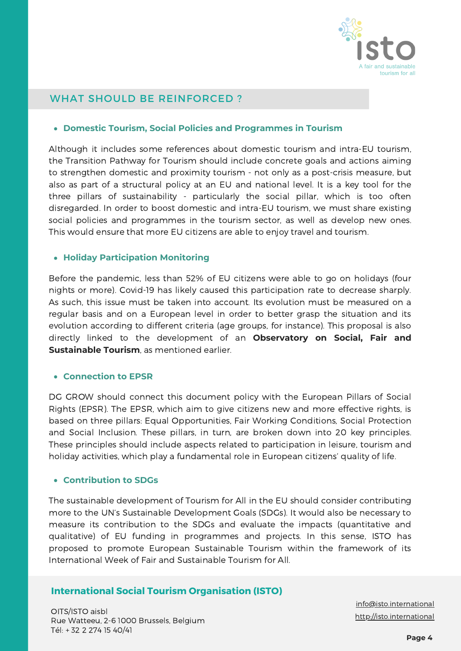

## WHAT SHOULD BE REINFORCED ?

#### **Domestic Tourism, Social Policies and Programmes in Tourism**

Although it includes some references about domestic tourism and intra-EU tourism, the Transition Pathway for Tourism should include concrete goals and actions aiming to strengthen domestic and proximity tourism - not only as a post-crisis measure, but also as part of a structural policy at an EU and national level. It is a key tool for the three pillars of sustainability - particularly the social pillar, which is too often disregarded. In order to boost domestic and intra-EU tourism, we must share existing social policies and programmes in the tourism sector, as well as develop new ones. This would ensure that more EU citizens are able to enjoy travel and tourism.

### **Holiday Participation Monitoring**

Before the pandemic, less than 52% of EU citizens were able to go on holidays (four nights or more). Covid-19 has likely caused this participation rate to decrease sharply. As such, this issue must be taken into account. Its evolution must be measured on a regular basis and on a European level in order to better grasp the situation and its evolution according to different criteria (age groups, for instance). This proposal is also directly linked to the development of an **Observatory on Social, Fair and Sustainable Tourism**, as mentioned earlier.

#### **Connection to EPSR**

DG GROW should connect this document policy with the European Pillars of Social Rights (EPSR). The EPSR, which aim to give citizens new and more effective rights, is based on three pillars: Equal Opportunities, Fair Working Conditions, Social Protection and Social Inclusion. These pillars, in turn, are broken down into 20 key principles. These principles should include aspects related to participation in leisure, tourism and holiday activities, which play a fundamental role in European citizens' quality of life.

#### **Contribution to SDGs**

The sustainable development of Tourism for All in the EU should consider contributing more to the UN's Sustainable Development Goals (SDGs). It would also be necessary to measure its contribution to the SDGs and evaluate the impacts (quantitative and qualitative) of EU funding in programmes and projects. In this sense, ISTO has proposed to promote European Sustainable Tourism within the framework of its International Week of Fair and Sustainable Tourism for All.

## **International Social Tourism Organisation (ISTO)**

OITS/ISTO aisbl Rue Watteeu, 2-6 1000 Brussels, Belgium Tél: + 32 2 274 15 40/41